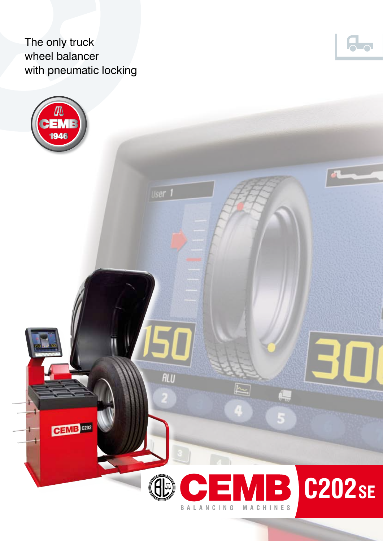The only truck wheel balancer with pneumatic locking



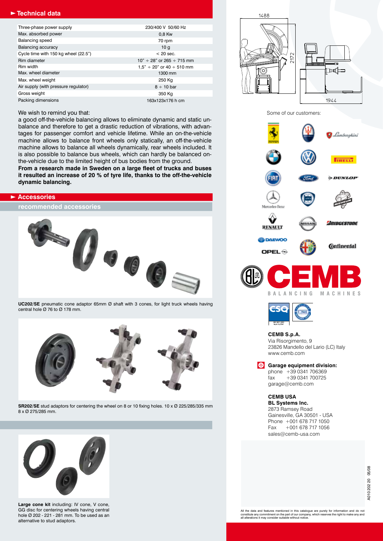## **Technical data**

| Three-phase power supply             | 230/400 V 50/60 Hz                  |  |  |
|--------------------------------------|-------------------------------------|--|--|
| Max. absorbed power                  | 0,8 Kw                              |  |  |
| <b>Balancing speed</b>               | 70 rpm                              |  |  |
| Balancing accuracy                   | 10q                                 |  |  |
| Cycle time with 150 kg wheel (22.5") | $<$ 20 sec.                         |  |  |
| Rim diameter                         | $10" \div 28"$ or $265 \div 715$ mm |  |  |
| Rim width                            | $1.5" \div 20"$ or $40 \div 510$ mm |  |  |
| Max, wheel diameter                  | 1300 mm                             |  |  |
| Max. wheel weight                    | 250 Kg                              |  |  |
| Air supply (with pressure regulator) | $8 \div 10$ bar                     |  |  |
| Gross weight                         | 350 Kg                              |  |  |
| Packing dimensions                   | 163x123x176 h cm                    |  |  |

### We wish to remind you that:

a good off-the-vehicle balancing allows to eliminate dynamic and static unbalance and therefore to get a drastic reduction of vibrations, with advantages for passenger comfort and vehicle lifetime. While an on-the-vehicle machine allows to balance front wheels only statically, an off-the-vehicle machine allows to balance all wheels dynamically, rear wheels included. It is also possible to balance bus wheels, which can hardly be balanced onthe-vehicle due to the limited height of bus bodies from the ground. **From a research made in Sweden on a large fleet of trucks and buses it resulted an increase of 20 % of tyre life, thanks to the off-the-vehicle dynamic balancing.**

#### **Accessories**

**recommended accessories**



**UC202/SE** pneumatic cone adaptor 65mm Ø shaft with 3 cones, for light truck wheels having central hole Ø 76 to Ø 178 mm.



**SR202/SE** stud adaptors for centering the wheel on 8 or 10 fixing holes. 10 x Ø 225/285/335 mm 8 x Ø 275/285 mm.



**Large cone kit** including: IV cone, V cone, GG disc for centering wheels having central hole Ø 202 - 221 - 281 mm. To be used as an alternative to stud adaptors.

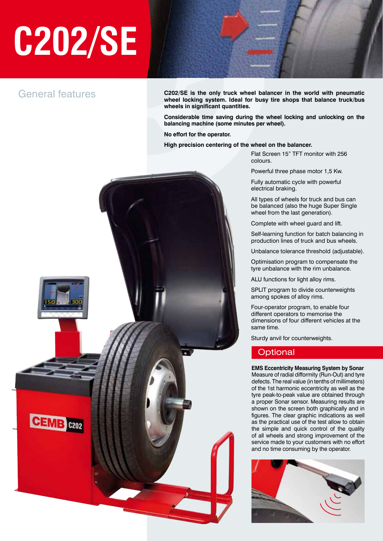# **C202/SE**

# General features

**C202/SE is the only truck wheel balancer in the world with pneumatic wheel locking system. Ideal for busy tire shops that balance truck/bus wheels in significant quantities.**

**Considerable time saving during the wheel locking and unlocking on the balancing machine (some minutes per wheel).**

**No effort for the operator.**

**High precision centering of the wheel on the balancer.**

Flat Screen 15" TFT monitor with 256 colours.

Powerful three phase motor 1,5 Kw.

Fully automatic cycle with powerful electrical braking.

All types of wheels for truck and bus can be balanced (also the huge Super Single wheel from the last generation).

Complete with wheel guard and lift.

Self-learning function for batch balancing in production lines of truck and bus wheels.

Unbalance tolerance threshold (adjustable).

Optimisation program to compensate the tyre unbalance with the rim unbalance.

ALU functions for light alloy rims.

SPLIT program to divide counterweights among spokes of alloy rims.

Four-operator program, to enable four different operators to memorise the dimensions of four different vehicles at the same time.

Sturdy anvil for counterweights.

# **Optional**

**EMS Eccentricity Measuring System by Sonar** Measure of radial difformity (Run-Out) and tyre defects. The real value (in tenths of millimeters) of the 1st harmonic eccentricity as well as the tyre peak-to-peak value are obtained through a proper Sonar sensor. Measuring results are shown on the screen both graphically and in figures. The clear graphic indications as well as the practical use of the test allow to obtain the simple and quick control of the quality of all wheels and strong improvement of the service made to your customers with no effort and no time consuming by the operator.